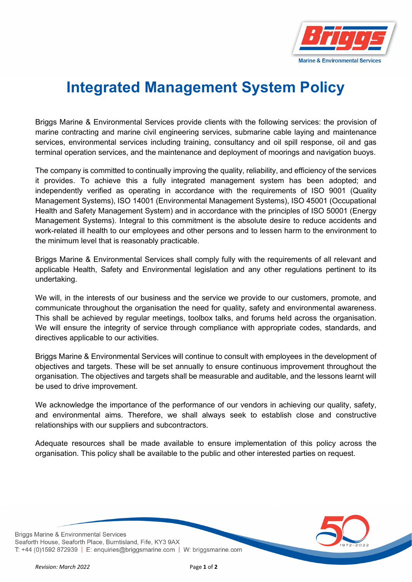

## **Integrated Management System Policy**

Briggs Marine & Environmental Services provide clients with the following services: the provision of marine contracting and marine civil engineering services, submarine cable laying and maintenance services, environmental services including training, consultancy and oil spill response, oil and gas terminal operation services, and the maintenance and deployment of moorings and navigation buoys.

The company is committed to continually improving the quality, reliability, and efficiency of the services it provides. To achieve this a fully integrated management system has been adopted; and independently verified as operating in accordance with the requirements of ISO 9001 (Quality Management Systems), ISO 14001 (Environmental Management Systems), ISO 45001 (Occupational Health and Safety Management System) and in accordance with the principles of ISO 50001 (Energy Management Systems). Integral to this commitment is the absolute desire to reduce accidents and work-related ill health to our employees and other persons and to lessen harm to the environment to the minimum level that is reasonably practicable.

Briggs Marine & Environmental Services shall comply fully with the requirements of all relevant and applicable Health, Safety and Environmental legislation and any other regulations pertinent to its undertaking.

We will, in the interests of our business and the service we provide to our customers, promote, and communicate throughout the organisation the need for quality, safety and environmental awareness. This shall be achieved by regular meetings, toolbox talks, and forums held across the organisation. We will ensure the integrity of service through compliance with appropriate codes, standards, and directives applicable to our activities.

Briggs Marine & Environmental Services will continue to consult with employees in the development of objectives and targets. These will be set annually to ensure continuous improvement throughout the organisation. The objectives and targets shall be measurable and auditable, and the lessons learnt will be used to drive improvement.

We acknowledge the importance of the performance of our vendors in achieving our quality, safety, and environmental aims. Therefore, we shall always seek to establish close and constructive relationships with our suppliers and subcontractors.

Adequate resources shall be made available to ensure implementation of this policy across the organisation. This policy shall be available to the public and other interested parties on request.

**Briggs Marine & Environmental Services** Seaforth House, Seaforth Place, Burntisland, Fife, KY3 9AX T: +44 (0)1592 872939 | E: enquiries@briggsmarine.com | W: briggsmarine.com